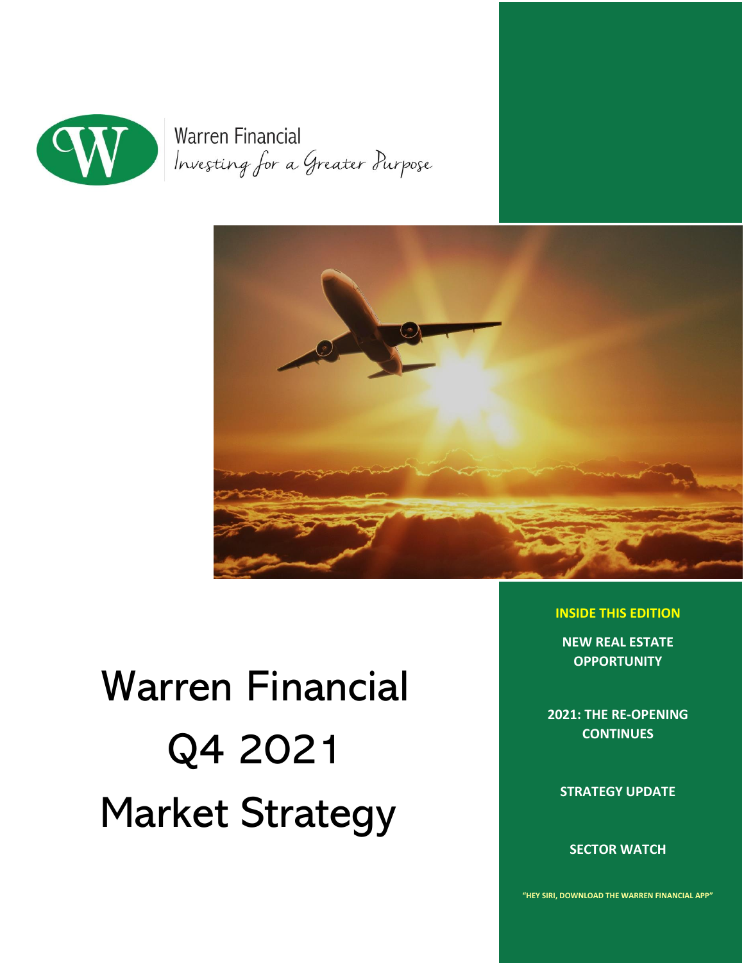

**Warren Financial** Investing for a Greater Purpose



# Warren Financial Q4 2021 Market Strategy

**INSIDE THIS EDITION** 

**NEW REAL ESTATE OPPORTUNITY** 

**2021: THE RE-OPENING CONTINUES** 

**STRATEGY UPDATE** 

**SECTOR WATCH** 

**"HEY SIRI, DOWNLOAD THE WARREN FINANCIAL APP"**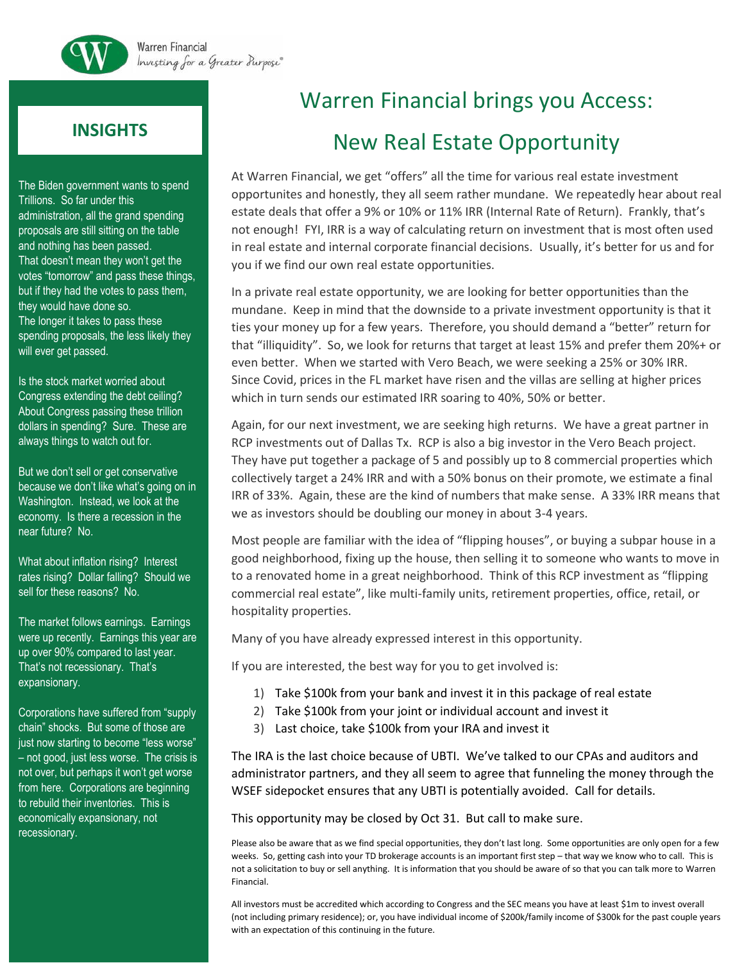

## **INSIGHTS**

The Biden government wants to spend Trillions. So far under this administration, all the grand spending proposals are still sitting on the table and nothing has been passed. That doesn't mean they won't get the votes "tomorrow" and pass these things, but if they had the votes to pass them, they would have done so. The longer it takes to pass these spending proposals, the less likely they will ever get passed.

Is the stock market worried about Congress extending the debt ceiling? About Congress passing these trillion dollars in spending? Sure. These are always things to watch out for.

But we don't sell or get conservative because we don't like what's going on in Washington. Instead, we look at the economy. Is there a recession in the near future? No.

What about inflation rising? Interest rates rising? Dollar falling? Should we sell for these reasons? No.

The market follows earnings. Earnings were up recently. Earnings this year are up over 90% compared to last year. That's not recessionary. That's expansionary.

Corporations have suffered from "supply chain" shocks. But some of those are just now starting to become "less worse" – not good, just less worse. The crisis is not over, but perhaps it won't get worse from here. Corporations are beginning to rebuild their inventories. This is economically expansionary, not recessionary.

# Warren Financial brings you Access: New Real Estate Opportunity

At Warren Financial, we get "offers" all the time for various real estate investment opportunites and honestly, they all seem rather mundane. We repeatedly hear about real estate deals that offer a 9% or 10% or 11% IRR (Internal Rate of Return). Frankly, that's not enough! FYI, IRR is a way of calculating return on investment that is most often used in real estate and internal corporate financial decisions. Usually, it's better for us and for you if we find our own real estate opportunities.

In a private real estate opportunity, we are looking for better opportunities than the mundane. Keep in mind that the downside to a private investment opportunity is that it ties your money up for a few years. Therefore, you should demand a "better" return for that "illiquidity". So, we look for returns that target at least 15% and prefer them 20%+ or even better. When we started with Vero Beach, we were seeking a 25% or 30% IRR. Since Covid, prices in the FL market have risen and the villas are selling at higher prices which in turn sends our estimated IRR soaring to 40%, 50% or better.

Again, for our next investment, we are seeking high returns. We have a great partner in RCP investments out of Dallas Tx. RCP is also a big investor in the Vero Beach project. They have put together a package of 5 and possibly up to 8 commercial properties which collectively target a 24% IRR and with a 50% bonus on their promote, we estimate a final IRR of 33%. Again, these are the kind of numbers that make sense. A 33% IRR means that we as investors should be doubling our money in about 3-4 years.

Most people are familiar with the idea of "flipping houses", or buying a subpar house in a good neighborhood, fixing up the house, then selling it to someone who wants to move in to a renovated home in a great neighborhood. Think of this RCP investment as "flipping commercial real estate", like multi-family units, retirement properties, office, retail, or hospitality properties.

Many of you have already expressed interest in this opportunity.

If you are interested, the best way for you to get involved is:

- 1) Take \$100k from your bank and invest it in this package of real estate
- 2) Take \$100k from your joint or individual account and invest it
- 3) Last choice, take \$100k from your IRA and invest it

The IRA is the last choice because of UBTI. We've talked to our CPAs and auditors and administrator partners, and they all seem to agree that funneling the money through the WSEF sidepocket ensures that any UBTI is potentially avoided. Call for details.

This opportunity may be closed by Oct 31. But call to make sure.

Please also be aware that as we find special opportunities, they don't last long. Some opportunities are only open for a few weeks. So, getting cash into your TD brokerage accounts is an important first step – that way we know who to call. This is not a solicitation to buy or sell anything. It is information that you should be aware of so that you can talk more to Warren Financial.

All investors must be accredited which according to Congress and the SEC means you have at least \$1m to invest overall (not including primary residence); or, you have individual income of \$200k/family income of \$300k for the past couple years with an expectation of this continuing in the future.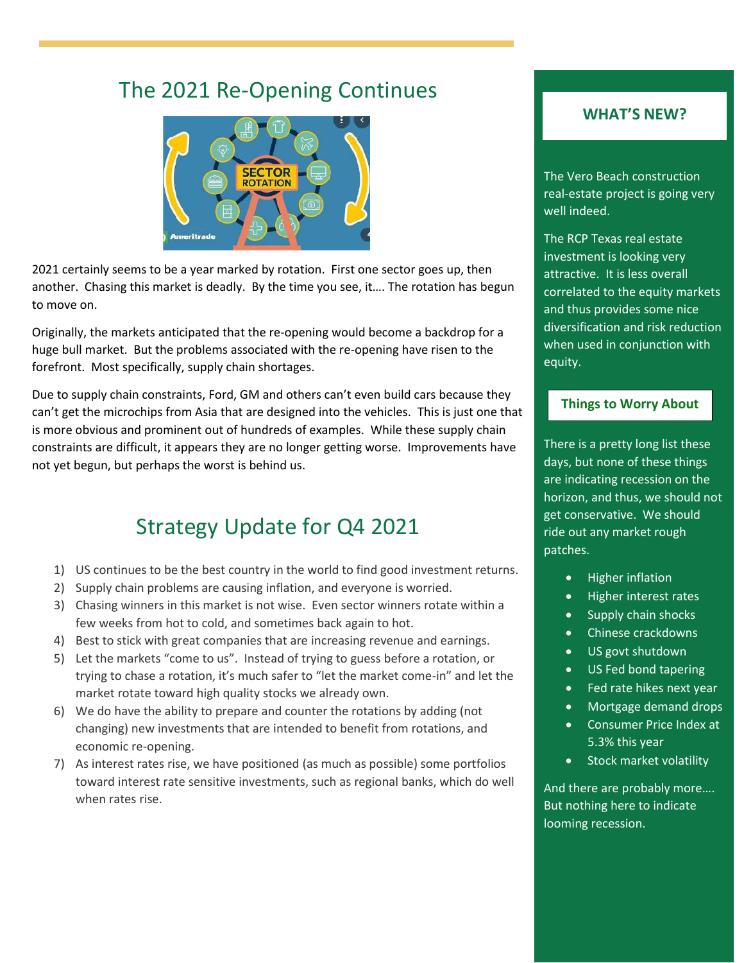# The 2021 Re-Opening Continues



2021 certainly seems to be a year marked by rotation. First one sector goes up, then another. Chasing this market is deadly. By the time you see, it…. The rotation has begun to move on.

Originally, the markets anticipated that the re-opening would become a backdrop for a huge bull market. But the problems associated with the re-opening have risen to the forefront. Most specifically, supply chain shortages.

Due to supply chain constraints, Ford, GM and others can't even build cars because they can't get the microchips from Asia that are designed into the vehicles. This is just one that is more obvious and prominent out of hundreds of examples. While these supply chain constraints are difficult, it appears they are no longer getting worse. Improvements have not yet begun, but perhaps the worst is behind us.

# Strategy Update for Q4 2021

- 1) US continues to be the best country in the world to find good investment returns.
- 2) Supply chain problems are causing inflation, and everyone is worried.
- 3) Chasing winners in this market is not wise. Even sector winners rotate within a few weeks from hot to cold, and sometimes back again to hot.
- 4) Best to stick with great companies that are increasing revenue and earnings.
- 5) Let the markets "come to us". Instead of trying to guess before a rotation, or trying to chase a rotation, it's much safer to "let the market come-in" and let the market rotate toward high quality stocks we already own.
- 6) We do have the ability to prepare and counter the rotations by adding (not changing) new investments that are intended to benefit from rotations, and economic re-opening.
- 7) As interest rates rise, we have positioned (as much as possible) some portfolios toward interest rate sensitive investments, such as regional banks, which do well when rates rise.

#### **WHAT'S NEW?**

The Vero Beach construction real-estate project is going very well indeed.

The RCP Texas real estate investment is looking very attractive. It is less overall correlated to the equity markets and thus provides some nice diversification and risk reduction when used in conjunction with equity.

#### **Things to Worry About**

There is a pretty long list these days, but none of these things are indicating recession on the horizon, and thus, we should not get conservative. We should ride out any market rough patches.

- Higher inflation
- Higher interest rates
- Supply chain shocks
- Chinese crackdowns
- US govt shutdown
- US Fed bond tapering
- Fed rate hikes next year
- Mortgage demand drops
- Consumer Price Index at 5.3% this year
- Stock market volatility

And there are probably more…. But nothing here to indicate looming recession.